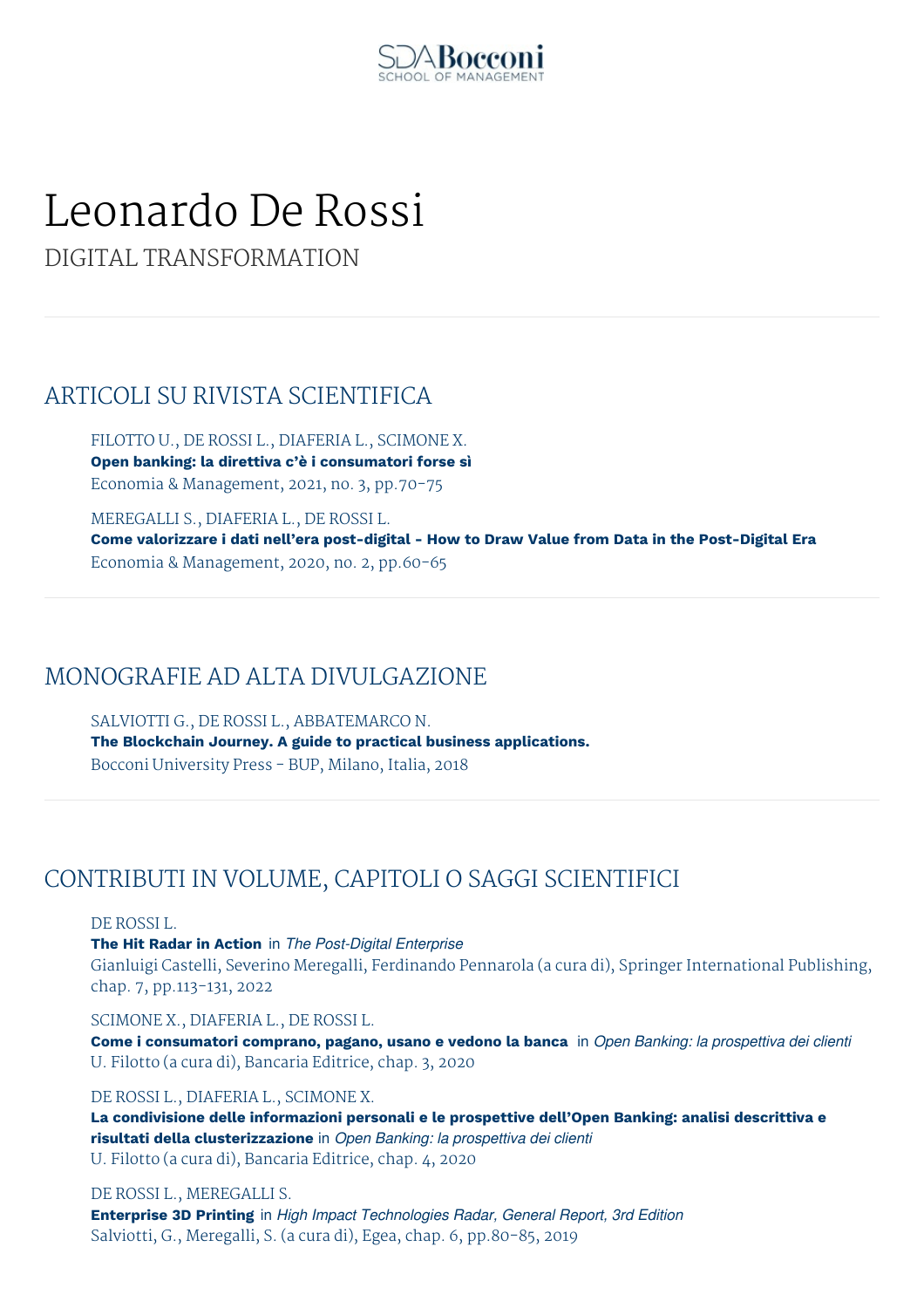

# Leonardo De Rossi

DIGITAL TRANSFORMATION

## ARTICOLI SU RIVISTA SCIENTIFICA

FILOTTO U., DE ROSSI L., DIAFERIA L., SCIMONE X. **Open banking: la direttiva c'è i consumatori forse sì** Economia & Management, 2021, no. 3, pp.70-75

MEREGALLI S., DIAFERIA L., DE ROSSI L. **Come valorizzare i dati nell'era post-digital - How to Draw Value from Data in the Post-Digital Era** Economia & Management, 2020, no. 2, pp.60-65

## MONOGRAFIE AD ALTA DIVULGAZIONE

SALVIOTTI G., DE ROSSI L., ABBATEMARCO N. **The Blockchain Journey. A guide to practical business applications.** Bocconi University Press - BUP, Milano, Italia, 2018

## CONTRIBUTI IN VOLUME, CAPITOLI O SAGGI SCIENTIFICI

DE ROSSI L.

**The Hit Radar in Action** in *The Post-Digital Enterprise* Gianluigi Castelli, Severino Meregalli, Ferdinando Pennarola (a cura di), Springer International Publishing, chap. 7, pp.113-131, 2022

## SCIMONE X., DIAFERIA L., DE ROSSI L.

**Come i consumatori comprano, pagano, usano e vedono la banca** in *Open Banking: la prospettiva dei clienti* U. Filotto (a cura di), Bancaria Editrice, chap. 3, 2020

## DE ROSSI L., DIAFERIA L., SCIMONE X.

**La condivisione delle informazioni personali e le prospettive dell'Open Banking: analisi descrittiva e risultati della clusterizzazione** in *Open Banking: la prospettiva dei clienti* U. Filotto (a cura di), Bancaria Editrice, chap. 4, 2020

## DE ROSSI L., MEREGALLI S.

**Enterprise 3D Printing** in *High Impact Technologies Radar, General Report, 3rd Edition* Salviotti, G., Meregalli, S. (a cura di), Egea, chap. 6, pp.80-85, 2019